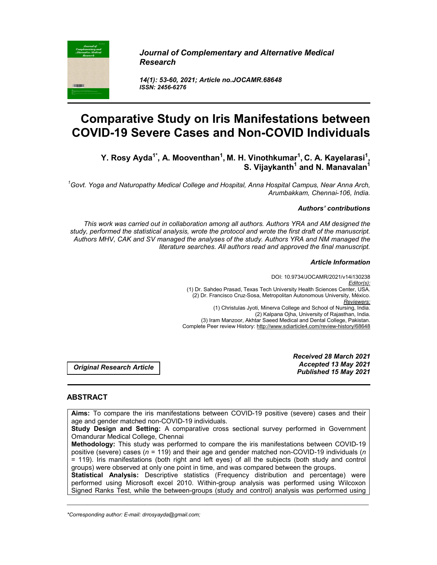

*Journal of Complementary and Alternative Medical Research*

*14(1): 53-60, 2021; Article no.JOCAMR.68648 ISSN: 2456-6276*

# **Comparative Study on Iris Manifestations between COVID-19 Severe Cases and Non-COVID Individuals**

Y. Rosy Ayda<sup>1\*</sup>, A. Mooventhan<sup>1</sup>, M. H. Vinothkumar<sup>1</sup>, C. A. Kayelarasi<sup>1</sup> **, S. Vijaykanth<sup>1</sup> and N. Manavalan<sup>1</sup>** 

*1 Govt. Yoga and Naturopathy Medical College and Hospital, Anna Hospital Campus, Near Anna Arch, Arumbakkam, Chennai-106, India.*

#### *Authors' contributions*

*This work was carried out in collaboration among all authors. Authors YRA and AM designed the study, performed the statistical analysis, wrote the protocol and wrote the first draft of the manuscript. Authors MHV, CAK and SV managed the analyses of the study. Authors YRA and NM managed the literature searches. All authors read and approved the final manuscript.*

#### *Article Information*

DOI: 10.9734/JOCAMR/2021/v14i130238 *Editor(s):* (1) Dr. Sahdeo Prasad, Texas Tech University Health Sciences Center, USA. (2) Dr. Francisco Cruz-Sosa, Metropolitan Autonomous University, México. *Reviewers:* (1) Christulas Jyoti, Minerva College and School of Nursing, India. (2) Kalpana Ojha, University of Rajasthan, India. (3) Iram Manzoor, Akhtar Saeed Medical and Dental College, Pakistan. Complete Peer review History: http://www.sdiarticle4.com/review-history/68648

*Original Research Article*

*Received 28 March 2021 Accepted 13 May 2021 Published 15 May 2021*

# **ABSTRACT**

**Aims:** To compare the iris manifestations between COVID-19 positive (severe) cases and their age and gender matched non-COVID-19 individuals.

**Study Design and Setting:** A comparative cross sectional survey performed in Government Omandurar Medical College, Chennai

**Methodology:** This study was performed to compare the iris manifestations between COVID-19 positive (severe) cases (*n* = 119) and their age and gender matched non-COVID-19 individuals (*n* = 119). Iris manifestations (both right and left eyes) of all the subjects (both study and control groups) were observed at only one point in time, and was compared between the groups.

**Statistical Analysis:** Descriptive statistics (Frequency distribution and percentage) were performed using Microsoft excel 2010. Within-group analysis was performed using Wilcoxon Signed Ranks Test, while the between-groups (study and control) analysis was performed using

\_\_\_\_\_\_\_\_\_\_\_\_\_\_\_\_\_\_\_\_\_\_\_\_\_\_\_\_\_\_\_\_\_\_\_\_\_\_\_\_\_\_\_\_\_\_\_\_\_\_\_\_\_\_\_\_\_\_\_\_\_\_\_\_\_\_\_\_\_\_\_\_\_\_\_\_\_\_\_\_\_\_\_\_\_\_\_\_\_\_\_\_\_\_\_\_\_\_\_\_\_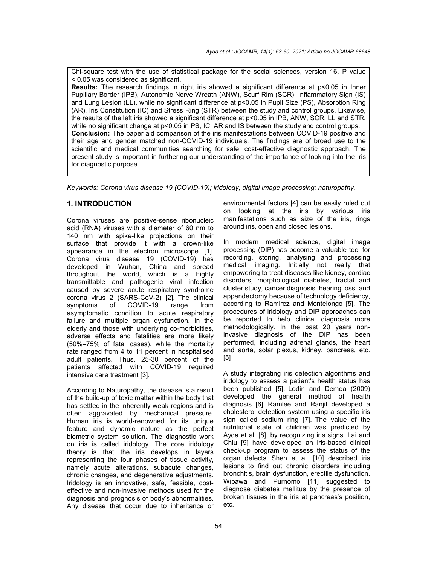Chi-square test with the use of statistical package for the social sciences, version 16. P value < 0.05 was considered as significant.

**Results:** The research findings in right iris showed a significant difference at p<0.05 in Inner Pupillary Border (IPB), Autonomic Nerve Wreath (ANW), Scurf Rim (SCR), Inflammatory Sign (IS) and Lung Lesion (LL), while no significant difference at p<0.05 in Pupil Size (PS), Absorption Ring (AR), Iris Constitution (IC) and Stress Ring (STR) between the study and control groups. Likewise, the results of the left iris showed a significant difference at p<0.05 in IPB, ANW, SCR, LL and STR, while no significant change at p<0.05 in PS, IC, AR and IS between the study and control groups. **Conclusion:** The paper aid comparison of the iris manifestations between COVID-19 positive and their age and gender matched non-COVID-19 individuals. The findings are of broad use to the scientific and medical communities searching for safe, cost-effective diagnostic approach. The present study is important in furthering our understanding of the importance of looking into the iris for diagnostic purpose.

*Keywords: Corona virus disease 19 (COVID-19); iridology; digital image processing; naturopathy.*

# **1. INTRODUCTION**

Corona viruses are positive-sense ribonucleic acid (RNA) viruses with a diameter of 60 nm to 140 nm with spike-like projections on their surface that provide it with a crown-like appearance in the electron microscope [1]. Corona virus disease 19 (COVID-19) has developed in Wuhan, China and spread throughout the world, which is a highly transmittable and pathogenic viral infection caused by severe acute respiratory syndrome corona virus 2 (SARS-CoV-2) [2]. The clinical COVID-19 range from asymptomatic condition to acute respiratory failure and multiple organ dysfunction. In the elderly and those with underlying co-morbidities, adverse effects and fatalities are more likely (50%–75% of fatal cases), while the mortality rate ranged from 4 to 11 percent in hospitalised adult patients. Thus, 25-30 percent of the patients affected with COVID-19 required intensive care treatment [3].

According to Naturopathy, the disease is a result of the build-up of toxic matter within the body that has settled in the inherently weak regions and is often aggravated by mechanical pressure. Human iris is world-renowned for its unique feature and dynamic nature as the perfect biometric system solution. The diagnostic work on iris is called iridology. The core iridology theory is that the iris develops in layers representing the four phases of tissue activity, namely acute alterations, subacute changes, chronic changes, and degenerative adjustments. Iridology is an innovative, safe, feasible, costeffective and non-invasive methods used for the diagnosis and prognosis of body's abnormalities. Any disease that occur due to inheritance or

environmental factors [4] can be easily ruled out on looking at the iris by various iris manifestations such as size of the iris, rings around iris, open and closed lesions.

In modern medical science, digital image processing (DIP) has become a valuable tool for recording, storing, analysing and processing medical imaging. Initially not really that empowering to treat diseases like kidney, cardiac disorders, morphological diabetes, fractal and cluster study, cancer diagnosis, hearing loss, and appendectomy because of technology deficiency, according to Ramirez and Montelongo [5]. The procedures of iridology and DIP approaches can be reported to help clinical diagnosis more methodologically. In the past 20 years noninvasive diagnosis of the DIP has been performed, including adrenal glands, the heart and aorta, solar plexus, kidney, pancreas, etc. [5]

A study integrating iris detection algorithms and iridology to assess a patient's health status has been published [5]. Lodin and Demea (2009) developed the general method of health diagnosis [6]. Ramlee and Ranjit developed a cholesterol detection system using a specific iris sign called sodium ring [7]. The value of the nutritional state of children was predicted by Ayda et al. [8], by recognizing iris signs. Lai and Chiu [9] have developed an iris-based clinical check-up program to assess the status of the organ defects. Shen et al. [10] described iris lesions to find out chronic disorders including bronchitis, brain dysfunction, erectile dysfunction. Wibawa and Purnomo [11] suggested to diagnose diabetes mellitus by the presence of broken tissues in the iris at pancreas's position, etc.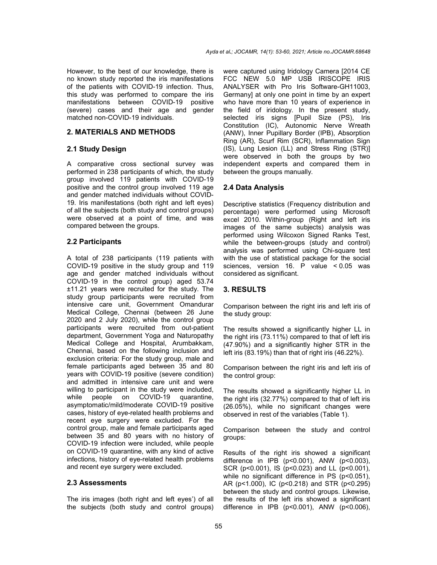However, to the best of our knowledge, there is no known study reported the iris manifestations of the patients with COVID-19 infection. Thus, this study was performed to compare the iris manifestations between COVID-19 positive (severe) cases and their age and gender matched non-COVID-19 individuals.

## **2. MATERIALS AND METHODS**

# **2.1 Study Design**

A comparative cross sectional survey was performed in 238 participants of which, the study group involved 119 patients with COVID-19 positive and the control group involved 119 age and gender matched individuals without COVID-19. Iris manifestations (both right and left eyes) of all the subjects (both study and control groups) were observed at a point of time, and was compared between the groups.

# **2.2 Participants**

A total of 238 participants (119 patients with COVID-19 positive in the study group and 119 age and gender matched individuals without COVID-19 in the control group) aged 53.74 ±11.21 years were recruited for the study. The study group participants were recruited from intensive care unit, Government Omandurar Medical College, Chennai (between 26 June 2020 and 2 July 2020), while the control group participants were recruited from out-patient department, Government Yoga and Naturopathy Medical College and Hospital, Arumbakkam, Chennai, based on the following inclusion and exclusion criteria: For the study group, male and female participants aged between 35 and 80 years with COVID-19 positive (severe condition) and admitted in intensive care unit and were willing to participant in the study were included, while people on COVID-19 quarantine, asymptomatic/mild/moderate COVID-19 positive cases, history of eye-related health problems and recent eye surgery were excluded. For the control group, male and female participants aged between 35 and 80 years with no history of COVID-19 infection were included, while people on COVID-19 quarantine, with any kind of active infections, history of eye-related health problems and recent eye surgery were excluded.

#### **2.3 Assessments**

The iris images (both right and left eyes') of all the subjects (both study and control groups) were captured using Iridology Camera [2014 CE FCC NEW 5.0 MP USB IRISCOPE IRIS ANALYSER with Pro Iris Software-GH11003, Germany] at only one point in time by an expert who have more than 10 years of experience in the field of iridology. In the present study, selected iris signs [Pupil Size (PS), Iris Constitution (IC), Autonomic Nerve Wreath (ANW), Inner Pupillary Border (IPB), Absorption Ring (AR), Scurf Rim (SCR), Inflammation Sign (IS), Lung Lesion (LL) and Stress Ring (STR)] were observed in both the groups by two independent experts and compared them in between the groups manually.

## **2.4 Data Analysis**

Descriptive statistics (Frequency distribution and percentage) were performed using Microsoft excel 2010. Within-group (Right and left iris images of the same subjects) analysis was performed using Wilcoxon Signed Ranks Test, while the between-groups (study and control) analysis was performed using Chi-square test with the use of statistical package for the social sciences, version 16. P value < 0.05 was considered as significant.

# **3. RESULTS**

Comparison between the right iris and left iris of the study group:

The results showed a significantly higher LL in the right iris (73.11%) compared to that of left iris (47.90%) and a significantly higher STR in the left iris (83.19%) than that of right iris (46.22%).

Comparison between the right iris and left iris of the control group:

The results showed a significantly higher LL in the right iris (32.77%) compared to that of left iris (26.05%), while no significant changes were observed in rest of the variables (Table 1).

Comparison between the study and control groups:

Results of the right iris showed a significant difference in IPB (p<0.001), ANW (p<0.003), SCR (p<0.001), IS (p<0.023) and LL (p<0.001), while no significant difference in PS (p<0.051), AR (p<1.000), IC (p<0.218) and STR (p<0.295) between the study and control groups. Likewise, the results of the left iris showed a significant difference in IPB (p<0.001), ANW (p<0.006),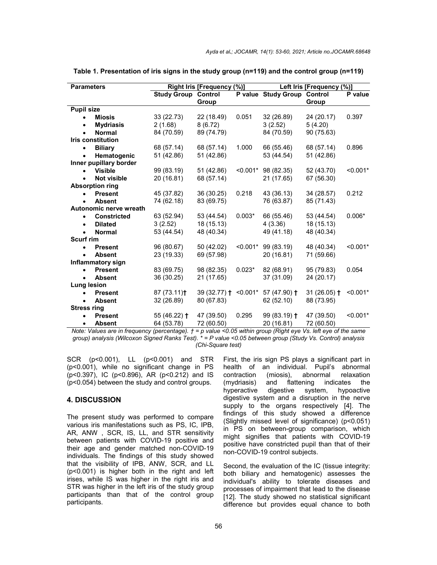| <b>Parameters</b>               | Right Iris [Frequency (%)] |              |            | Left Iris [Frequency (%)]   |               |            |
|---------------------------------|----------------------------|--------------|------------|-----------------------------|---------------|------------|
|                                 | <b>Study Group Control</b> |              |            | P value Study Group Control |               | P value    |
|                                 |                            | Group        |            |                             | Group         |            |
| <b>Pupil size</b>               |                            |              |            |                             |               |            |
| <b>Miosis</b><br>$\bullet$      | 33 (22.73)                 | 22 (18.49)   | 0.051      | 32 (26.89)                  | 24 (20.17)    | 0.397      |
| <b>Mydriasis</b><br>$\bullet$   | 2(1.68)                    | 8(6.72)      |            | 3(2.52)                     | 5(4.20)       |            |
| <b>Normal</b><br>$\bullet$      | 84 (70.59)                 | 89 (74.79)   |            | 84 (70.59)                  | 90 (75.63)    |            |
| <b>Iris constitution</b>        |                            |              |            |                             |               |            |
| <b>Biliary</b><br>$\bullet$     | 68 (57.14)                 | 68 (57.14)   | 1.000      | 66 (55.46)                  | 68 (57.14)    | 0.896      |
| Hematogenic<br>$\bullet$        | 51 (42.86)                 | 51 (42.86)   |            | 53 (44.54)                  | 51 (42.86)    |            |
| Inner pupillary border          |                            |              |            |                             |               |            |
| <b>Visible</b>                  | 99 (83.19)                 | 51 (42.86)   |            | $< 0.001$ * 98 (82.35)      | 52 (43.70)    | $< 0.001*$ |
| <b>Not visible</b><br>$\bullet$ | 20 (16.81)                 | 68 (57.14)   |            | 21 (17.65)                  | 67 (56.30)    |            |
| <b>Absorption ring</b>          |                            |              |            |                             |               |            |
| <b>Present</b><br>$\bullet$     | 45 (37.82)                 | 36 (30.25)   | 0.218      | 43 (36.13)                  | 34 (28.57)    | 0.212      |
| <b>Absent</b><br>$\bullet$      | 74 (62.18)                 | 83 (69.75)   |            | 76 (63.87)                  | 85 (71.43)    |            |
| Autonomic nerve wreath          |                            |              |            |                             |               |            |
| <b>Constricted</b>              | 63 (52.94)                 | 53 (44.54)   | $0.003*$   | 66 (55.46)                  | 53 (44.54)    | $0.006*$   |
| <b>Dilated</b><br>$\bullet$     | 3(2.52)                    | 18 (15.13)   |            | 4(3.36)                     | 18 (15.13)    |            |
| <b>Normal</b><br>$\bullet$      | 53 (44.54)                 | 48 (40.34)   |            | 49 (41.18)                  | 48 (40.34)    |            |
| <b>Scurf rim</b>                |                            |              |            |                             |               |            |
| <b>Present</b><br>$\bullet$     | 96 (80.67)                 | 50 (42.02)   | $< 0.001*$ | 99 (83.19)                  | 48 (40.34)    | $< 0.001*$ |
| <b>Absent</b><br>$\bullet$      | 23 (19.33)                 | 69 (57.98)   |            | 20 (16.81)                  | 71 (59.66)    |            |
| Inflammatory sign               |                            |              |            |                             |               |            |
| <b>Present</b><br>$\bullet$     | 83 (69.75)                 | 98 (82.35)   | $0.023*$   | 82 (68.91)                  | 95 (79.83)    | 0.054      |
| <b>Absent</b><br>$\bullet$      | 36 (30.25)                 | 21 (17.65)   |            | 37 (31.09)                  | 24 (20.17)    |            |
| Lung lesion                     |                            |              |            |                             |               |            |
| <b>Present</b>                  | 87(73.11)                  | 39 (32.77) † | $< 0.001*$ | $57(47.90)$ +               | $31(26.05)$ † | $< 0.001*$ |
| <b>Absent</b><br>$\bullet$      | 32 (26.89)                 | 80 (67.83)   |            | 62 (52.10)                  | 88 (73.95)    |            |
| <b>Stress ring</b>              |                            |              |            |                             |               |            |
| <b>Present</b><br>$\bullet$     | 55 (46.22) $\dagger$       | 47 (39.50)   | 0.295      | 99 $(83.19)$ †              | 47 (39.50)    | $< 0.001*$ |
| <b>Absent</b><br>$\bullet$      | 64 (53.78)                 | 72 (60.50)   |            | 20 (16.81)                  | 72 (60.50)    |            |

**Table 1. Presentation of iris signs in the study group (n=119) and the control group (n=119)**

*Note: Values are in frequency (percentage). † = p value <0.05 within group (Right eye Vs. left eye of the same group) analysis (Wilcoxon Signed Ranks Test). \* = P value <0.05 between group (Study Vs. Control) analysis (Chi-Square test)*

SCR (p<0.001), LL (p<0.001) and STR (p<0.001), while no significant change in PS (p<0.397), IC (p<0.896), AR (p<0.212) and IS (p<0.054) between the study and control groups.

## **4. DISCUSSION**

The present study was performed to compare various iris manifestations such as PS, IC, IPB, AR, ANW , SCR, IS, LL, and STR sensitivity between patients with COVID-19 positive and their age and gender matched non-COVID-19 individuals. The findings of this study showed that the visibility of IPB, ANW, SCR, and LL (p<0.001) is higher both in the right and left irises, while IS was higher in the right iris and STR was higher in the left iris of the study group participants than that of the control group participants.

First, the iris sign PS plays a significant part in health of an individual. Pupil's abnormal contraction (miosis), abnormal relaxation (mydriasis) and flattening indicates the hyperactive digestive system, hypoactive digestive system and a disruption in the nerve supply to the organs respectively [4]. The findings of this study showed a difference (Slightly missed level of significance) (p<0.051) in PS on between-group comparison, which might signifies that patients with COVID-19 positive have constricted pupil than that of their non-COVID-19 control subjects.

Second, the evaluation of the IC (tissue integrity: both biliary and hematogenic) assesses the individual's ability to tolerate diseases and processes of impairment that lead to the disease [12]. The study showed no statistical significant difference but provides equal chance to both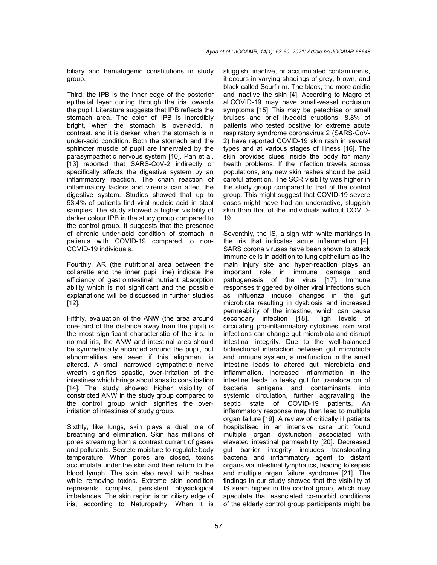biliary and hematogenic constitutions in study group.

Third, the IPB is the inner edge of the posterior epithelial layer curling through the iris towards the pupil. Literature suggests that IPB reflects the stomach area. The color of IPB is incredibly bright, when the stomach is over-acid, in contrast, and it is darker, when the stomach is in under-acid condition. Both the stomach and the sphincter muscle of pupil are innervated by the parasympathetic nervous system [10]. Pan et al. [13] reported that SARS-CoV-2 indirectly or specifically affects the digestive system by an inflammatory reaction. The chain reaction of inflammatory factors and viremia can affect the digestive system. Studies showed that up to 53.4% of patients find viral nucleic acid in stool samples. The study showed a higher visibility of darker colour IPB in the study group compared to the control group. It suggests that the presence of chronic under-acid condition of stomach in patients with COVID-19 compared to non-COVID-19 individuals.

Fourthly, AR (the nutritional area between the collarette and the inner pupil line) indicate the efficiency of gastrointestinal nutrient absorption ability which is not significant and the possible explanations will be discussed in further studies [12].

Fifthly, evaluation of the ANW (the area around one-third of the distance away from the pupil) is the most significant characteristic of the iris. In normal iris, the ANW and intestinal area should be symmetrically encircled around the pupil, but abnormalities are seen if this alignment is altered. A small narrowed sympathetic nerve wreath signifies spastic, over-irritation of the intestines which brings about spastic constipation [14]. The study showed higher visibility of constricted ANW in the study group compared to the control group which signifies the overirritation of intestines of study group.

Sixthly, like lungs, skin plays a dual role of breathing and elimination. Skin has millions of pores streaming from a contrast current of gases and pollutants. Secrete moisture to regulate body temperature. When pores are closed, toxins accumulate under the skin and then return to the blood lymph. The skin also revolt with rashes while removing toxins. Extreme skin condition represents complex, persistent physiological imbalances. The skin region is on ciliary edge of iris, according to Naturopathy. When it is

sluggish, inactive, or accumulated contaminants, it occurs in varying shadings of grey, brown, and black called Scurf rim. The black, the more acidic and inactive the skin [4]. According to Magro et al.COVID-19 may have small-vessel occlusion symptoms [15]. This may be petechiae or small bruises and brief livedoid eruptions. 8.8% of patients who tested positive for extreme acute respiratory syndrome coronavirus 2 (SARS-CoV-2) have reported COVID-19 skin rash in several types and at various stages of illness [16]. The skin provides clues inside the body for many health problems. If the infection travels across populations, any new skin rashes should be paid careful attention. The SCR visibility was higher in the study group compared to that of the control group. This might suggest that COVID-19 severe cases might have had an underactive, sluggish skin than that of the individuals without COVID-19.

Seventhly, the IS, a sign with white markings in the iris that indicates acute inflammation [4]. SARS corona viruses have been shown to attack immune cells in addition to lung epithelium as the main injury site and hyper-reaction plays an important role in immune damage and pathogenesis of the virus [17]. Immune responses triggered by other viral infections such as influenza induce changes in the gut microbiota resulting in dysbiosis and increased permeability of the intestine, which can cause secondary infection [18]. High levels of circulating pro-inflammatory cytokines from viral infections can change gut microbiota and disrupt intestinal integrity. Due to the well-balanced bidirectional interaction between gut microbiota and immune system, a malfunction in the small intestine leads to altered gut microbiota and inflammation. Increased inflammation in the intestine leads to leaky gut for translocation of bacterial antigens and contaminants into systemic circulation, further aggravating the septic state of COVID-19 patients. An inflammatory response may then lead to multiple organ failure [19]. A review of critically ill patients hospitalised in an intensive care unit found multiple organ dysfunction associated with elevated intestinal permeability [20]. Decreased gut barrier integrity includes translocating bacteria and inflammatory agent to distant organs via intestinal lymphatics, leading to sepsis and multiple organ failure syndrome [21]. The findings in our study showed that the visibility of IS seem higher in the control group, which may speculate that associated co-morbid conditions of the elderly control group participants might be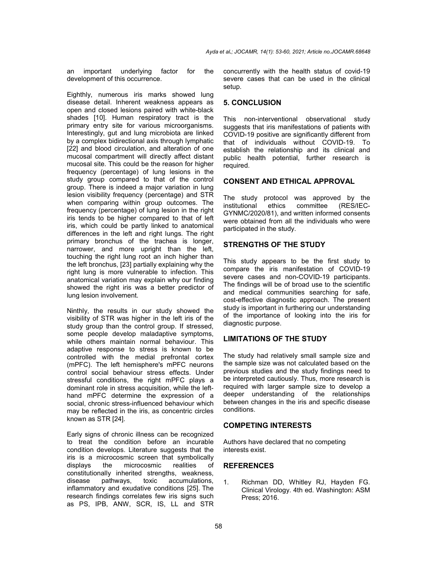an important underlying factor for the development of this occurrence.

Eighthly, numerous iris marks showed lung disease detail. Inherent weakness appears as open and closed lesions paired with white-black shades [10]. Human respiratory tract is the primary entry site for various microorganisms. Interestingly, gut and lung microbiota are linked by a complex bidirectional axis through lymphatic [22] and blood circulation, and alteration of one mucosal compartment will directly affect distant mucosal site. This could be the reason for higher frequency (percentage) of lung lesions in the study group compared to that of the control group. There is indeed a major variation in lung lesion visibility frequency (percentage) and STR when comparing within group outcomes. The frequency (percentage) of lung lesion in the right iris tends to be higher compared to that of left iris, which could be partly linked to anatomical differences in the left and right lungs. The right primary bronchus of the trachea is longer, narrower, and more upright than the left, touching the right lung root an inch higher than the left bronchus, [23] partially explaining why the right lung is more vulnerable to infection. This anatomical variation may explain why our finding showed the right iris was a better predictor of lung lesion involvement.

Ninthly, the results in our study showed the visibility of STR was higher in the left iris of the study group than the control group. If stressed, some people develop maladaptive symptoms, while others maintain normal behaviour. This adaptive response to stress is known to be controlled with the medial prefrontal cortex (mPFC). The left hemisphere's mPFC neurons control social behaviour stress effects. Under stressful conditions, the right mPFC plays a dominant role in stress acquisition, while the lefthand mPFC determine the expression of a social, chronic stress-influenced behaviour which may be reflected in the iris, as concentric circles known as STR [24].

Early signs of chronic illness can be recognized to treat the condition before an incurable condition develops. Literature suggests that the iris is a microcosmic screen that symbolically displays the microcosmic realities of constitutionally inherited strengths, weakness, disease pathways, toxic accumulations, pathways, toxic accumulations, inflammatory and exudative conditions [25]. The research findings correlates few iris signs such as PS, IPB, ANW, SCR, IS, LL and STR

concurrently with the health status of covid-19 severe cases that can be used in the clinical setup.

## **5. CONCLUSION**

This non-interventional observational study suggests that iris manifestations of patients with COVID-19 positive are significantly different from that of individuals without COVID-19. To establish the relationship and its clinical and public health potential, further research is required.

# **CONSENT AND ETHICAL APPROVAL**

The study protocol was approved by the institutional ethics committee (RES/IEC-GYNMC/2020/81), and written informed consents were obtained from all the individuals who were participated in the study.

#### **STRENGTHS OF THE STUDY**

This study appears to be the first study to compare the iris manifestation of COVID-19 severe cases and non-COVID-19 participants. The findings will be of broad use to the scientific and medical communities searching for safe, cost-effective diagnostic approach. The present study is important in furthering our understanding of the importance of looking into the iris for diagnostic purpose.

## **LIMITATIONS OF THE STUDY**

The study had relatively small sample size and the sample size was not calculated based on the previous studies and the study findings need to be interpreted cautiously. Thus, more research is required with larger sample size to develop a deeper understanding of the relationships between changes in the iris and specific disease conditions.

### **COMPETING INTERESTS**

Authors have declared that no competing interests exist.

# **REFERENCES**

1. Richman DD, Whitley RJ, Hayden FG. Clinical Virology. 4th ed. Washington: ASM Press; 2016.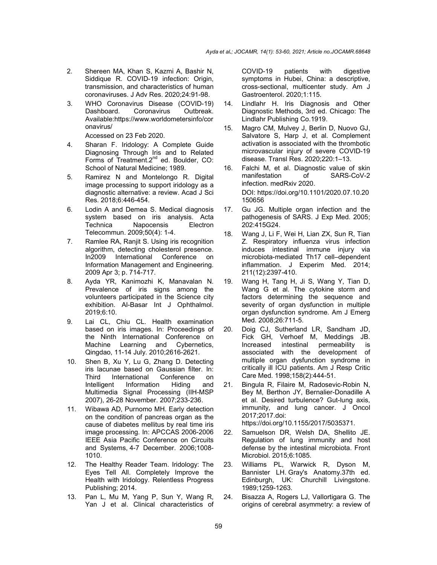- 2. Shereen MA, Khan S, Kazmi A, Bashir N, Siddique R. COVID-19 infection: Origin, transmission, and characteristics of human coronaviruses. J Adv Res. 2020;24:91-98.
- 3. WHO Coronavirus Disease (COVID-19) Dashboard. Coronavirus Outbreak. Available:https://www.worldometersinfo/cor onavirus/

Accessed on 23 Feb 2020.

- 4. Sharan F. Iridology: A Complete Guide Diagnosing Through Iris and to Related Forms of Treatment.2<sup>nd</sup> ed. Boulder, CO: School of Natural Medicine; 1989.
- 5. Ramirez N and Montelongo R. Digital image processing to support iridology as a diagnostic alternative: a review. Acad J Sci Res. 2018;6:446-454.
- 6. Lodin A and Demea S. Medical diagnosis system based on iris analysis. Acta Technica Napocensis Electron Telecommun. 2009;50(4): 1-4.
- 7. Ramlee RA, Ranjit S. Using iris recognition algorithm, detecting cholesterol presence. In2009 International Conference on Information Management and Engineering. 2009 Apr 3; p. 714-717.
- 8. Ayda YR, Kanimozhi K, Manavalan N. Prevalence of iris signs among the volunteers participated in the Science city exhibition. Al-Basar Int J Ophthalmol. 2019;6:10.
- 9. Lai CL, Chiu CL. Health examination based on iris images. In: Proceedings of the Ninth International Conference on Machine Learning and Cybernetics, Qingdao, 11-14 July. 2010;2616-2621.
- 10. Shen B, Xu Y, Lu G, Zhang D. Detecting iris lacunae based on Gaussian filter. In: International Conference on Intelligent Information Hiding and Multimedia Signal Processing (IIH-MSP 2007), 26-28 November. 2007;233-236.
- 11. Wibawa AD, Purnomo MH. Early detection on the condition of pancreas organ as the cause of diabetes mellitus by real time iris image processing. In: APCCAS 2006-2006 IEEE Asia Pacific Conference on Circuits and Systems, 4-7 December. 2006;1008- 1010.
- 12. The Healthy Reader Team. Iridology: The Eyes Tell All. Completely Improve the Health with Iridology. Relentless Progress Publishing; 2014.
- 13. Pan L, Mu M, Yang P, Sun Y, Wang R, Yan J et al. Clinical characteristics of

COVID-19 patients with digestive symptoms in Hubei, China: a descriptive, cross-sectional, multicenter study. Am J Gastroenterol. 2020;1:115.

- 14. Lindlahr H. Iris Diagnosis and Other Diagnostic Methods, 3rd ed. Chicago: The Lindlahr Publishing Co.1919.
- 15. Magro CM, Mulvey J, Berlin D, Nuovo GJ, Salvatore S, Harp J, et al. Complement activation is associated with the thrombotic microvascular injury of severe COVID-19 disease. Transl Res. 2020;220:1–13.
- 16. Falchi M, et al. Diagnostic value of skin<br>manifestation of SARS-CoV-2 manifestation of infection. medRxiv 2020. DOI: https://doi.org/10.1101/2020.07.10.20 150656
- 17. Gu JG. Multiple organ infection and the pathogenesis of SARS. J Exp Med. 2005; 202:415G24.
- 18. Wang J, Li F, Wei H, Lian ZX, Sun R, Tian Z. Respiratory influenza virus infection induces intestinal immune injury via microbiota-mediated Th17 cell–dependent inflammation. J Experim Med. 2014; 211(12):2397-410.
- 19. Wang H, Tang H, Ji S, Wang Y, Tian D, Wang G et al. The cytokine storm and factors determining the sequence and severity of organ dysfunction in multiple organ dysfunction syndrome. Am J Emerg Med. 2008;26:711-5.
- 20. Doig CJ, Sutherland LR, Sandham JD, Fick GH, Verhoef M, Meddings JB.<br>Increased intestinal permeability is Increased intestinal permeability is associated with the development of multiple organ dysfunction syndrome in critically ill ICU patients. Am J Resp Critic Care Med. 1998;158(2):444-51.
- 21. Bingula R, Filaire M, Radosevic-Robin N, Bey M, Berthon JY, Bernalier-Donadille A et al. Desired turbulence? Gut-lung axis, immunity, and lung cancer. J Oncol 2017;2017.doi: https://doi.org/10.1155/2017/5035371.
- 22. Samuelson DR, Welsh DA, Shellito JE. Regulation of lung immunity and host defense by the intestinal microbiota. Front Microbiol. 2015;6:1085.
- 23. Williams PL, Warwick R, Dyson M, Bannister LH. Gray's Anatomy.37th ed. Edinburgh, UK: Churchill Livingstone. 1989;1259-1263.
- 24. Bisazza A, Rogers LJ, Vallortigara G. The origins of cerebral asymmetry: a review of